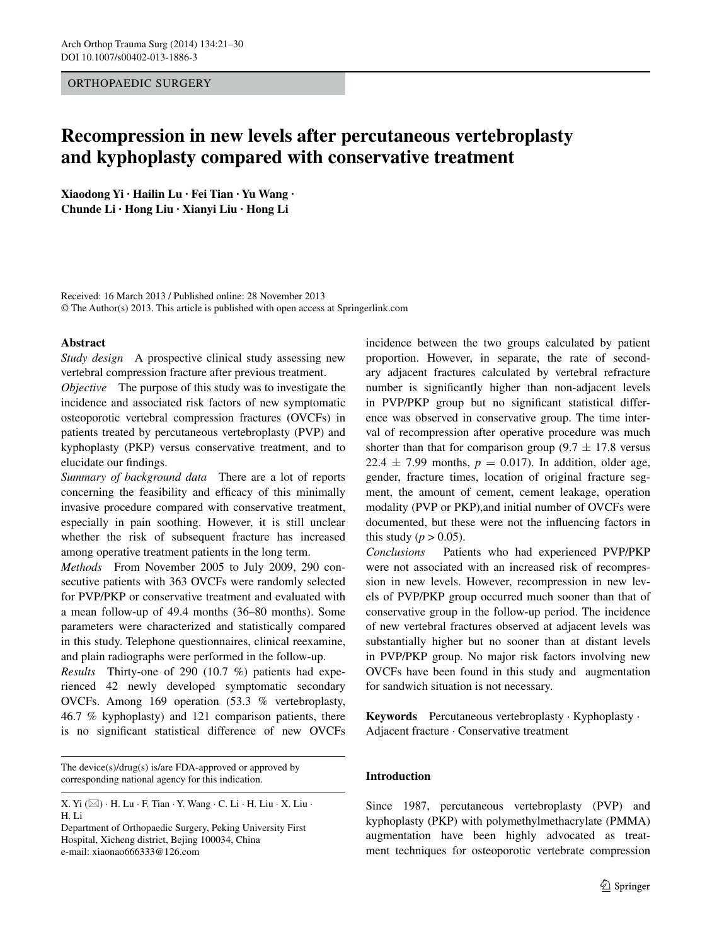#### ORTHOPAEDIC SURGERY

# **Recompression in new levels after percutaneous vertebroplasty and kyphoplasty compared with conservative treatment**

**Xiaodong Yi · Hailin Lu · Fei Tian · Yu Wang · Chunde Li · Hong Liu · Xianyi Liu · Hong Li**

Received: 16 March 2013 / Published online: 28 November 2013 © The Author(s) 2013. This article is published with open access at Springerlink.com

#### **Abstract**

*Study design* A prospective clinical study assessing new vertebral compression fracture after previous treatment.

*Objective* The purpose of this study was to investigate the incidence and associated risk factors of new symptomatic osteoporotic vertebral compression fractures (OVCFs) in patients treated by percutaneous vertebroplasty (PVP) and kyphoplasty (PKP) versus conservative treatment, and to elucidate our findings.

*Summary of background data* There are a lot of reports concerning the feasibility and efficacy of this minimally invasive procedure compared with conservative treatment, especially in pain soothing. However, it is still unclear whether the risk of subsequent fracture has increased among operative treatment patients in the long term.

*Methods* From November 2005 to July 2009, 290 consecutive patients with 363 OVCFs were randomly selected for PVP/PKP or conservative treatment and evaluated with a mean follow-up of 49.4 months (36–80 months). Some parameters were characterized and statistically compared in this study. Telephone questionnaires, clinical reexamine, and plain radiographs were performed in the follow-up.

*Results* Thirty-one of 290 (10.7 %) patients had experienced 42 newly developed symptomatic secondary OVCFs. Among 169 operation (53.3 % vertebroplasty, 46.7 % kyphoplasty) and 121 comparison patients, there is no significant statistical difference of new OVCFs

The device(s)/drug(s) is/are FDA-approved or approved by corresponding national agency for this indication.

Department of Orthopaedic Surgery, Peking University First Hospital, Xicheng district, Bejing 100034, China e-mail: xiaonao666333@126.com

incidence between the two groups calculated by patient proportion. However, in separate, the rate of secondary adjacent fractures calculated by vertebral refracture number is significantly higher than non-adjacent levels in PVP/PKP group but no significant statistical difference was observed in conservative group. The time interval of recompression after operative procedure was much shorter than that for comparison group  $(9.7 \pm 17.8 \text{ versus}$ 22.4  $\pm$  7.99 months,  $p = 0.017$ ). In addition, older age, gender, fracture times, location of original fracture segment, the amount of cement, cement leakage, operation modality (PVP or PKP),and initial number of OVCFs were documented, but these were not the influencing factors in this study ( $p > 0.05$ ).

*Conclusions* Patients who had experienced PVP/PKP were not associated with an increased risk of recompression in new levels. However, recompression in new levels of PVP/PKP group occurred much sooner than that of conservative group in the follow-up period. The incidence of new vertebral fractures observed at adjacent levels was substantially higher but no sooner than at distant levels in PVP/PKP group. No major risk factors involving new OVCFs have been found in this study and augmentation for sandwich situation is not necessary.

**Keywords** Percutaneous vertebroplasty · Kyphoplasty · Adjacent fracture · Conservative treatment

## **Introduction**

Since 1987, percutaneous vertebroplasty (PVP) and kyphoplasty (PKP) with polymethylmethacrylate (PMMA) augmentation have been highly advocated as treatment techniques for osteoporotic vertebrate compression

X. Yi  $(\boxtimes)$  · H. Lu · F. Tian · Y. Wang · C. Li · H. Liu · X. Liu · H. Li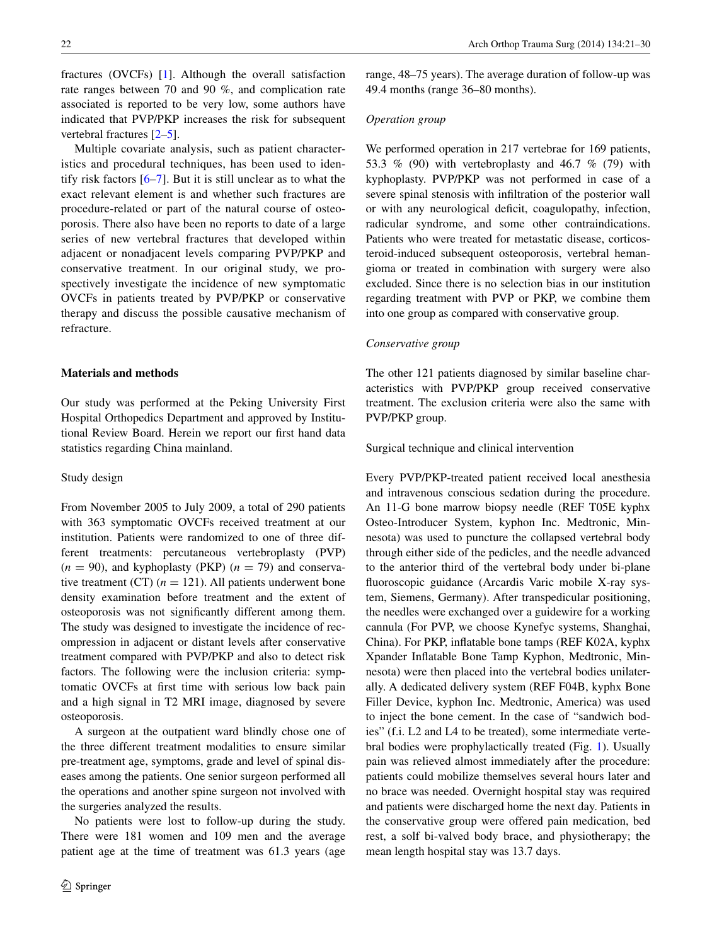fractures (OVCFs) [\[1](#page-9-0)]. Although the overall satisfaction rate ranges between 70 and 90 %, and complication rate associated is reported to be very low, some authors have indicated that PVP/PKP increases the risk for subsequent vertebral fractures [[2–](#page-9-1)[5\]](#page-9-2).

Multiple covariate analysis, such as patient characteristics and procedural techniques, has been used to identify risk factors [\[6–](#page-9-3)[7\]](#page-9-4). But it is still unclear as to what the exact relevant element is and whether such fractures are procedure-related or part of the natural course of osteoporosis. There also have been no reports to date of a large series of new vertebral fractures that developed within adjacent or nonadjacent levels comparing PVP/PKP and conservative treatment. In our original study, we prospectively investigate the incidence of new symptomatic OVCFs in patients treated by PVP/PKP or conservative therapy and discuss the possible causative mechanism of refracture.

#### **Materials and methods**

Our study was performed at the Peking University First Hospital Orthopedics Department and approved by Institutional Review Board. Herein we report our first hand data statistics regarding China mainland.

#### Study design

From November 2005 to July 2009, a total of 290 patients with 363 symptomatic OVCFs received treatment at our institution. Patients were randomized to one of three different treatments: percutaneous vertebroplasty (PVP)  $(n = 90)$ , and kyphoplasty (PKP)  $(n = 79)$  and conservative treatment (CT)  $(n = 121)$ . All patients underwent bone density examination before treatment and the extent of osteoporosis was not significantly different among them. The study was designed to investigate the incidence of recompression in adjacent or distant levels after conservative treatment compared with PVP/PKP and also to detect risk factors. The following were the inclusion criteria: symptomatic OVCFs at first time with serious low back pain and a high signal in T2 MRI image, diagnosed by severe osteoporosis.

A surgeon at the outpatient ward blindly chose one of the three different treatment modalities to ensure similar pre-treatment age, symptoms, grade and level of spinal diseases among the patients. One senior surgeon performed all the operations and another spine surgeon not involved with the surgeries analyzed the results.

No patients were lost to follow-up during the study. There were 181 women and 109 men and the average patient age at the time of treatment was 61.3 years (age range, 48–75 years). The average duration of follow-up was 49.4 months (range 36–80 months).

#### *Operation group*

We performed operation in 217 vertebrae for 169 patients, 53.3 % (90) with vertebroplasty and 46.7 % (79) with kyphoplasty. PVP/PKP was not performed in case of a severe spinal stenosis with infiltration of the posterior wall or with any neurological deficit, coagulopathy, infection, radicular syndrome, and some other contraindications. Patients who were treated for metastatic disease, corticosteroid-induced subsequent osteoporosis, vertebral hemangioma or treated in combination with surgery were also excluded. Since there is no selection bias in our institution regarding treatment with PVP or PKP, we combine them into one group as compared with conservative group.

#### *Conservative group*

The other 121 patients diagnosed by similar baseline characteristics with PVP/PKP group received conservative treatment. The exclusion criteria were also the same with PVP/PKP group.

### Surgical technique and clinical intervention

Every PVP/PKP-treated patient received local anesthesia and intravenous conscious sedation during the procedure. An 11-G bone marrow biopsy needle (REF T05E kyphx Osteo-Introducer System, kyphon Inc. Medtronic, Minnesota) was used to puncture the collapsed vertebral body through either side of the pedicles, and the needle advanced to the anterior third of the vertebral body under bi-plane fluoroscopic guidance (Arcardis Varic mobile X-ray system, Siemens, Germany). After transpedicular positioning, the needles were exchanged over a guidewire for a working cannula (For PVP, we choose Kynefyc systems, Shanghai, China). For PKP, inflatable bone tamps (REF K02A, kyphx Xpander Inflatable Bone Tamp Kyphon, Medtronic, Minnesota) were then placed into the vertebral bodies unilaterally. A dedicated delivery system (REF F04B, kyphx Bone Filler Device, kyphon Inc. Medtronic, America) was used to inject the bone cement. In the case of "sandwich bodies" (f.i. L2 and L4 to be treated), some intermediate vertebral bodies were prophylactically treated (Fig. [1\)](#page-2-0). Usually pain was relieved almost immediately after the procedure: patients could mobilize themselves several hours later and no brace was needed. Overnight hospital stay was required and patients were discharged home the next day. Patients in the conservative group were offered pain medication, bed rest, a solf bi-valved body brace, and physiotherapy; the mean length hospital stay was 13.7 days.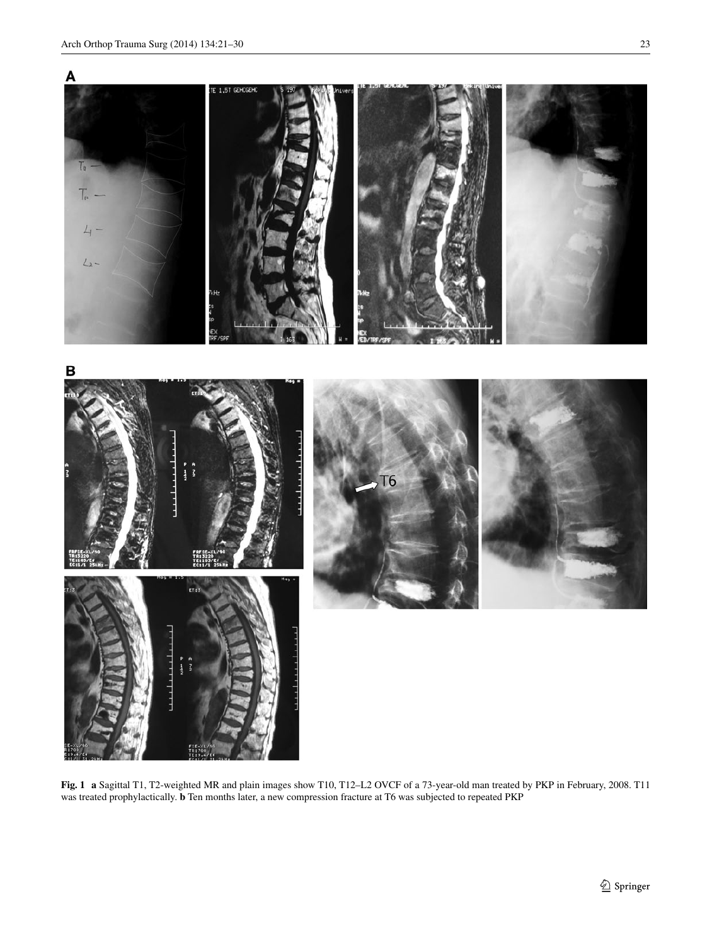

<span id="page-2-0"></span>**Fig. 1 a** Sagittal T1, T2-weighted MR and plain images show T10, T12–L2 OVCF of a 73-year-old man treated by PKP in February, 2008. T11 was treated prophylactically. **b** Ten months later, a new compression fracture at T6 was subjected to repeated PKP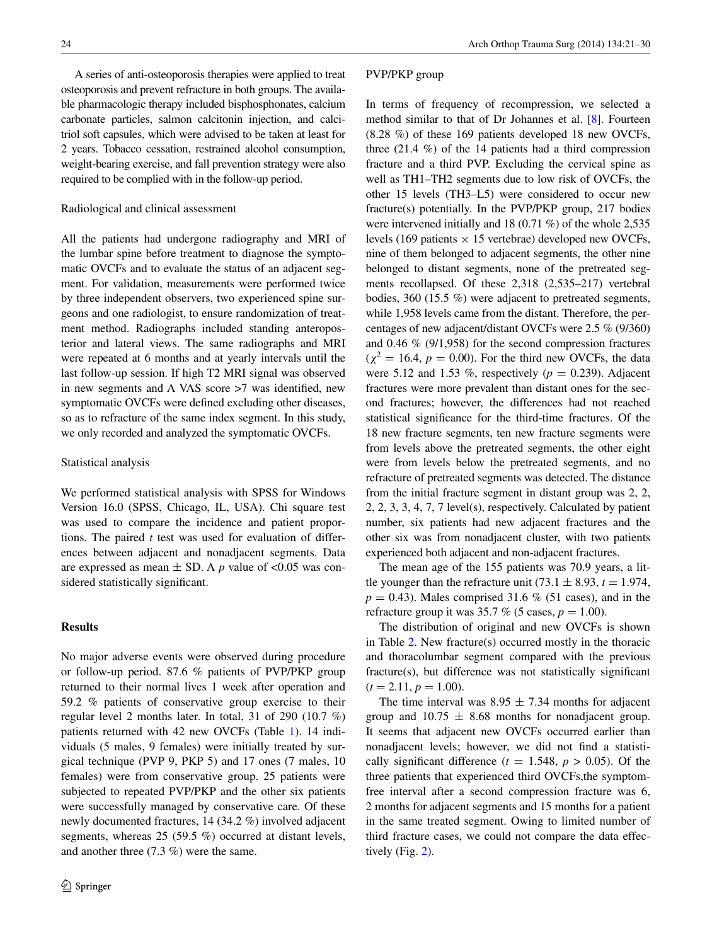A series of anti-osteoporosis therapies were applied to treat osteoporosis and prevent refracture in both groups. The available pharmacologic therapy included bisphosphonates, calcium carbonate particles, salmon calcitonin injection, and calcitriol soft capsules, which were advised to be taken at least for 2 years. Tobacco cessation, restrained alcohol consumption, weight-bearing exercise, and fall prevention strategy were also required to be complied with in the follow-up period.

#### Radiological and clinical assessment

All the patients had undergone radiography and MRI of the lumbar spine before treatment to diagnose the symptomatic OVCFs and to evaluate the status of an adjacent segment. For validation, measurements were performed twice by three independent observers, two experienced spine surgeons and one radiologist, to ensure randomization of treatment method. Radiographs included standing anteroposterior and lateral views. The same radiographs and MRI were repeated at 6 months and at yearly intervals until the last follow-up session. If high T2 MRI signal was observed in new segments and A VAS score >7 was identified, new symptomatic OVCFs were defined excluding other diseases, so as to refracture of the same index segment. In this study, we only recorded and analyzed the symptomatic OVCFs.

#### Statistical analysis

We performed statistical analysis with SPSS for Windows Version 16.0 (SPSS, Chicago, IL, USA). Chi square test was used to compare the incidence and patient proportions. The paired *t* test was used for evaluation of differences between adjacent and nonadjacent segments. Data are expressed as mean  $\pm$  SD. A *p* value of <0.05 was considered statistically significant.

### **Results**

No major adverse events were observed during procedure or follow-up period. 87.6 % patients of PVP/PKP group returned to their normal lives 1 week after operation and 59.2 % patients of conservative group exercise to their regular level 2 months later. In total, 31 of 290 (10.7 %) patients returned with 42 new OVCFs (Table [1\)](#page-4-0). 14 individuals (5 males, 9 females) were initially treated by surgical technique (PVP 9, PKP 5) and 17 ones (7 males, 10 females) were from conservative group. 25 patients were subjected to repeated PVP/PKP and the other six patients were successfully managed by conservative care. Of these newly documented fractures, 14 (34.2 %) involved adjacent segments, whereas 25 (59.5 %) occurred at distant levels, and another three (7.3 %) were the same.

## PVP/PKP group

In terms of frequency of recompression, we selected a method similar to that of Dr Johannes et al. [[8\]](#page-9-5). Fourteen (8.28 %) of these 169 patients developed 18 new OVCFs, three (21.4 %) of the 14 patients had a third compression fracture and a third PVP. Excluding the cervical spine as well as TH1–TH2 segments due to low risk of OVCFs, the other 15 levels (TH3–L5) were considered to occur new fracture(s) potentially. In the PVP/PKP group, 217 bodies were intervened initially and 18 (0.71 %) of the whole 2,535 levels (169 patients  $\times$  15 vertebrae) developed new OVCFs, nine of them belonged to adjacent segments, the other nine belonged to distant segments, none of the pretreated segments recollapsed. Of these 2,318 (2,535–217) vertebral bodies, 360 (15.5 %) were adjacent to pretreated segments, while 1,958 levels came from the distant. Therefore, the percentages of new adjacent/distant OVCFs were 2.5 % (9/360) and 0.46 % (9/1,958) for the second compression fractures  $(\chi^2 = 16.4, p = 0.00)$ . For the third new OVCFs, the data were 5.12 and 1.53 %, respectively  $(p = 0.239)$ . Adjacent fractures were more prevalent than distant ones for the second fractures; however, the differences had not reached statistical significance for the third-time fractures. Of the 18 new fracture segments, ten new fracture segments were from levels above the pretreated segments, the other eight were from levels below the pretreated segments, and no refracture of pretreated segments was detected. The distance from the initial fracture segment in distant group was 2, 2, 2, 2, 3, 3, 4, 7, 7 level(s), respectively. Calculated by patient number, six patients had new adjacent fractures and the other six was from nonadjacent cluster, with two patients experienced both adjacent and non-adjacent fractures.

The mean age of the 155 patients was 70.9 years, a little younger than the refracture unit  $(73.1 \pm 8.93, t = 1.974,$  $p = 0.43$ ). Males comprised 31.6 % (51 cases), and in the refracture group it was 35.7 % (5 cases,  $p = 1.00$ ).

The distribution of original and new OVCFs is shown in Table [2.](#page-4-1) New fracture(s) occurred mostly in the thoracic and thoracolumbar segment compared with the previous fracture(s), but difference was not statistically significant  $(t = 2.11, p = 1.00)$ .

The time interval was  $8.95 \pm 7.34$  months for adjacent group and  $10.75 \pm 8.68$  months for nonadjacent group. It seems that adjacent new OVCFs occurred earlier than nonadjacent levels; however, we did not find a statistically significant difference  $(t = 1.548, p > 0.05)$ . Of the three patients that experienced third OVCFs,the symptomfree interval after a second compression fracture was 6, 2 months for adjacent segments and 15 months for a patient in the same treated segment. Owing to limited number of third fracture cases, we could not compare the data effectively (Fig. [2\)](#page-4-2).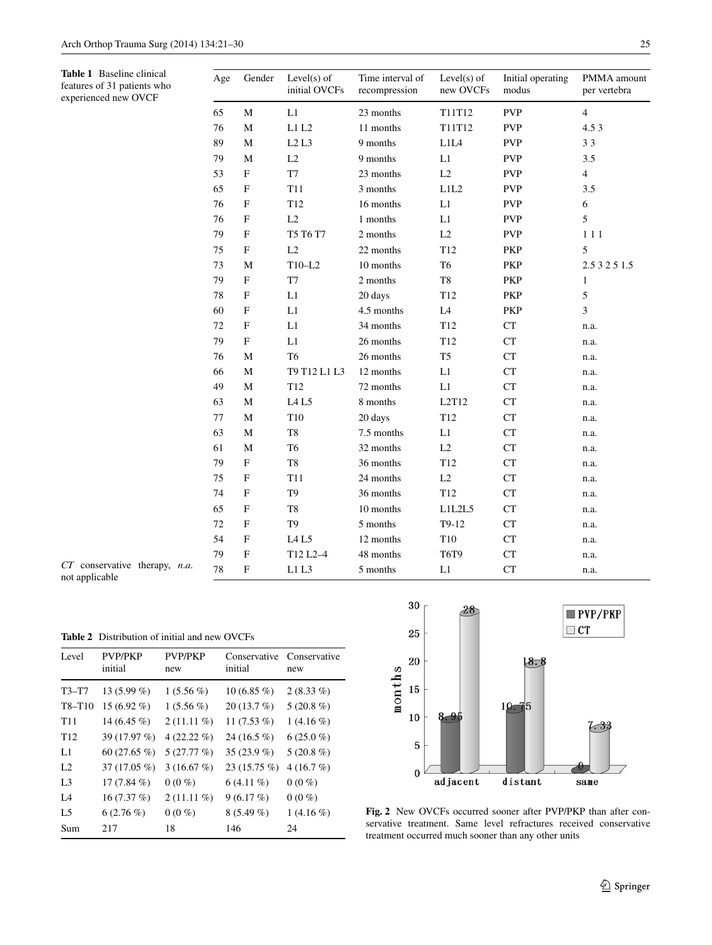<span id="page-4-0"></span>experienced new OVCF

| PMMA amo     |
|--------------|
| per vertebra |

| Age | Gender       | Level $(s)$ of<br>initial OVCFs | Time interval of<br>recompression | Level $(s)$ of<br>new OVCFs | Initial operating<br>modus | PMMA amount<br>per vertebra |
|-----|--------------|---------------------------------|-----------------------------------|-----------------------------|----------------------------|-----------------------------|
| 65  | M            | L1                              | 23 months                         | T11T12                      | <b>PVP</b>                 | $\overline{4}$              |
| 76  | M            | L1L2                            | 11 months                         | T11T12                      | <b>PVP</b>                 | 4.5 3                       |
| 89  | M            | L2L3                            | 9 months                          | L1L4                        | <b>PVP</b>                 | 33                          |
| 79  | M            | L2                              | 9 months                          | L1                          | <b>PVP</b>                 | 3.5                         |
| 53  | $\mathbf F$  | T7                              | 23 months                         | L2                          | <b>PVP</b>                 | $\overline{4}$              |
| 65  | $\mathbf F$  | <b>T11</b>                      | 3 months                          | L1L2                        | <b>PVP</b>                 | 3.5                         |
| 76  | $\mathbf F$  | T <sub>12</sub>                 | 16 months                         | L1                          | <b>PVP</b>                 | 6                           |
| 76  | $\mathbf{F}$ | L2                              | 1 months                          | L1                          | <b>PVP</b>                 | 5                           |
| 79  | $\mathbf F$  | T5 T6 T7                        | 2 months                          | L2                          | <b>PVP</b>                 | 111                         |
| 75  | $\mathbf F$  | L2                              | 22 months                         | T <sub>12</sub>             | PKP                        | 5                           |
| 73  | M            | $T10-L2$                        | 10 months                         | T <sub>6</sub>              | PKP                        | 2.5 3 2 5 1.5               |
| 79  | $\mathbf F$  | T7                              | 2 months                          | T8                          | PKP                        | $\mathbf{1}$                |
| 78  | $\mathbf F$  | L1                              | 20 days                           | T <sub>12</sub>             | PKP                        | 5                           |
| 60  | F            | L1                              | 4.5 months                        | L4                          | PKP                        | $\overline{3}$              |
| 72  | F            | L1                              | 34 months                         | T <sub>12</sub>             | CT                         | n.a.                        |
| 79  | F            | L1                              | 26 months                         | T <sub>12</sub>             | <b>CT</b>                  | n.a.                        |
| 76  | M            | T <sub>6</sub>                  | 26 months                         | T <sub>5</sub>              | CT                         | n.a.                        |
| 66  | M            | T9 T12 L1 L3                    | 12 months                         | L1                          | CT                         | n.a.                        |
| 49  | M            | T <sub>12</sub>                 | 72 months                         | L1                          | CT                         | n.a.                        |
| 63  | M            | LA <sub>L5</sub>                | 8 months                          | L2T12                       | CT                         | n.a.                        |
| 77  | M            | T <sub>10</sub>                 | 20 days                           | T <sub>12</sub>             | CT                         | n.a.                        |
| 63  | M            | T <sub>8</sub>                  | 7.5 months                        | L1                          | CT                         | n.a.                        |
| 61  | M            | T <sub>6</sub>                  | 32 months                         | L2                          | CT                         | n.a.                        |
| 79  | $\mathbf F$  | T8                              | 36 months                         | T <sub>12</sub>             | CT                         | n.a.                        |
| 75  | $\mathbf F$  | <b>T11</b>                      | 24 months                         | L2                          | CT                         | n.a.                        |
| 74  | $\mathbf F$  | T <sub>9</sub>                  | 36 months                         | T <sub>12</sub>             | CT                         | n.a.                        |
| 65  | $\mathbf F$  | T <sub>8</sub>                  | 10 months                         | L1L2L5                      | CT                         | n.a.                        |
| 72  | $\mathbf F$  | T <sub>9</sub>                  | 5 months                          | $T9-12$                     | CT                         | n.a.                        |
| 54  | F            | L4 L5                           | 12 months                         | T10                         | CT                         | n.a.                        |
| 79  | $\mathbf{F}$ | T12 L2-4                        | 48 months                         | <b>T6T9</b>                 | CT                         | n.a.                        |
| 78  | $\mathbf{F}$ | L1L3                            | 5 months                          | L1                          | CT                         | n.a.                        |
|     |              |                                 |                                   |                             |                            |                             |

*CT* conservative therapy, *n*.*a*. not applicable

<span id="page-4-1"></span>**Table 2** Distribution of initial and new OVCFs

| Level           | <b>PVP/PKP</b><br>initial | <b>PVP/PKP</b><br>new | initial        | Conservative Conservative<br>new |
|-----------------|---------------------------|-----------------------|----------------|----------------------------------|
| $T3-T7$         | 13 $(5.99\% )$            | $1(5.56\%)$           | 10 $(6.85\%)$  | $2(8.33\%)$                      |
| $T8-T10$        | $15(6.92\%)$              | $1(5.56\%)$           | $20(13.7\%)$   | $5(20.8\%)$                      |
| T <sub>11</sub> | 14 $(6.45\%$              | $2(11.11\%)$          | 11 $(7.53\%)$  | $1(4.16\%)$                      |
| T12             | 39 (17.97 %)              | 4 $(22.22\% )$        | 24 (16.5 $%$ ) | $6(25.0\%)$                      |
| L1              | 60 $(27.65\%$             | 5(27.77%)             | 35 $(23.9\%)$  | $5(20.8\%)$                      |
| L <sub>2</sub>  | $37(17.05\%)$             | 3(16.67%)             | $23(15.75\%)$  | 4(16.7%)                         |
| L <sub>3</sub>  | 17 $(7.84\%)$             | $0(0\%)$              | $6(4.11\%)$    | $0(0\%)$                         |
| IA              | 16(7.37%)                 | $2(11.11\%)$          | 9(6.17%)       | $0(0\%)$                         |
| L <sub>5</sub>  | $6(2.76\%)$               | $0(0\%)$              | $8(5.49\%)$    | $1(4.16\%)$                      |
| Sum             | 217                       | 18                    | 146            | 24                               |



<span id="page-4-2"></span>**Fig. 2** New OVCFs occurred sooner after PVP/PKP than after conservative treatment. Same level refractures received conservative treatment occurred much sooner than any other units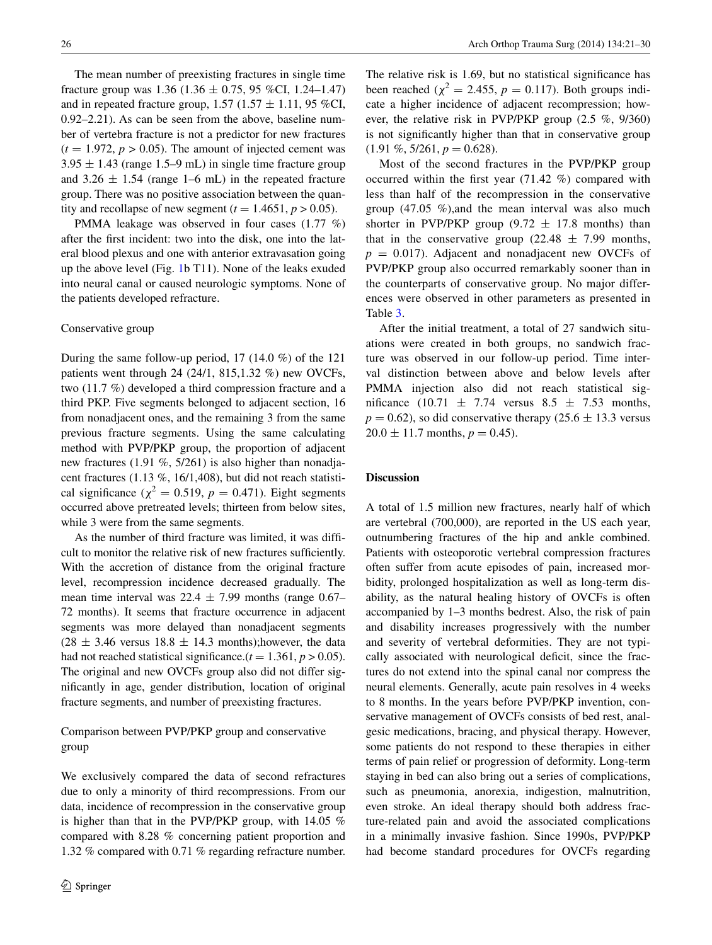The mean number of preexisting fractures in single time fracture group was  $1.36$  ( $1.36 \pm 0.75$ , 95 %CI,  $1.24$ –1.47) and in repeated fracture group,  $1.57$  ( $1.57 \pm 1.11$ , 95 %CI, 0.92–2.21). As can be seen from the above, baseline number of vertebra fracture is not a predictor for new fractures  $(t = 1.972, p > 0.05)$ . The amount of injected cement was  $3.95 \pm 1.43$  (range 1.5–9 mL) in single time fracture group and  $3.26 \pm 1.54$  (range 1–6 mL) in the repeated fracture group. There was no positive association between the quantity and recollapse of new segment  $(t = 1.4651, p > 0.05)$ .

PMMA leakage was observed in four cases (1.77 %) after the first incident: two into the disk, one into the lateral blood plexus and one with anterior extravasation going up the above level (Fig. [1](#page-2-0)b T11). None of the leaks exuded into neural canal or caused neurologic symptoms. None of the patients developed refracture.

#### Conservative group

During the same follow-up period, 17 (14.0 %) of the 121 patients went through 24 (24/1, 815,1.32 %) new OVCFs, two (11.7 %) developed a third compression fracture and a third PKP. Five segments belonged to adjacent section, 16 from nonadjacent ones, and the remaining 3 from the same previous fracture segments. Using the same calculating method with PVP/PKP group, the proportion of adjacent new fractures (1.91 %, 5/261) is also higher than nonadjacent fractures (1.13 %, 16/1,408), but did not reach statistical significance ( $\chi^2 = 0.519$ ,  $p = 0.471$ ). Eight segments occurred above pretreated levels; thirteen from below sites, while 3 were from the same segments.

As the number of third fracture was limited, it was difficult to monitor the relative risk of new fractures sufficiently. With the accretion of distance from the original fracture level, recompression incidence decreased gradually. The mean time interval was  $22.4 \pm 7.99$  months (range 0.67– 72 months). It seems that fracture occurrence in adjacent segments was more delayed than nonadjacent segments  $(28 \pm 3.46$  versus  $18.8 \pm 14.3$  months); however, the data had not reached statistical significance. $(t = 1.361, p > 0.05)$ . The original and new OVCFs group also did not differ significantly in age, gender distribution, location of original fracture segments, and number of preexisting fractures.

## Comparison between PVP/PKP group and conservative group

We exclusively compared the data of second refractures due to only a minority of third recompressions. From our data, incidence of recompression in the conservative group is higher than that in the PVP/PKP group, with 14.05 % compared with 8.28 % concerning patient proportion and 1.32 % compared with 0.71 % regarding refracture number.

The relative risk is 1.69, but no statistical significance has been reached ( $\chi^2 = 2.455$ ,  $p = 0.117$ ). Both groups indicate a higher incidence of adjacent recompression; however, the relative risk in PVP/PKP group (2.5 %, 9/360) is not significantly higher than that in conservative group  $(1.91\%, 5/261, p = 0.628).$ 

Most of the second fractures in the PVP/PKP group occurred within the first year (71.42 %) compared with less than half of the recompression in the conservative group (47.05 %),and the mean interval was also much shorter in PVP/PKP group  $(9.72 \pm 17.8 \text{ months})$  than that in the conservative group (22.48  $\pm$  7.99 months,  $p = 0.017$ ). Adjacent and nonadjacent new OVCFs of PVP/PKP group also occurred remarkably sooner than in the counterparts of conservative group. No major differences were observed in other parameters as presented in Table [3](#page-6-0).

After the initial treatment, a total of 27 sandwich situations were created in both groups, no sandwich fracture was observed in our follow-up period. Time interval distinction between above and below levels after PMMA injection also did not reach statistical significance (10.71  $\pm$  7.74 versus 8.5  $\pm$  7.53 months,  $p = 0.62$ ), so did conservative therapy (25.6  $\pm$  13.3 versus  $20.0 \pm 11.7$  months,  $p = 0.45$ ).

#### **Discussion**

A total of 1.5 million new fractures, nearly half of which are vertebral (700,000), are reported in the US each year, outnumbering fractures of the hip and ankle combined. Patients with osteoporotic vertebral compression fractures often suffer from acute episodes of pain, increased morbidity, prolonged hospitalization as well as long-term disability, as the natural healing history of OVCFs is often accompanied by 1–3 months bedrest. Also, the risk of pain and disability increases progressively with the number and severity of vertebral deformities. They are not typically associated with neurological deficit, since the fractures do not extend into the spinal canal nor compress the neural elements. Generally, acute pain resolves in 4 weeks to 8 months. In the years before PVP/PKP invention, conservative management of OVCFs consists of bed rest, analgesic medications, bracing, and physical therapy. However, some patients do not respond to these therapies in either terms of pain relief or progression of deformity. Long-term staying in bed can also bring out a series of complications, such as pneumonia, anorexia, indigestion, malnutrition, even stroke. An ideal therapy should both address fracture-related pain and avoid the associated complications in a minimally invasive fashion. Since 1990s, PVP/PKP had become standard procedures for OVCFs regarding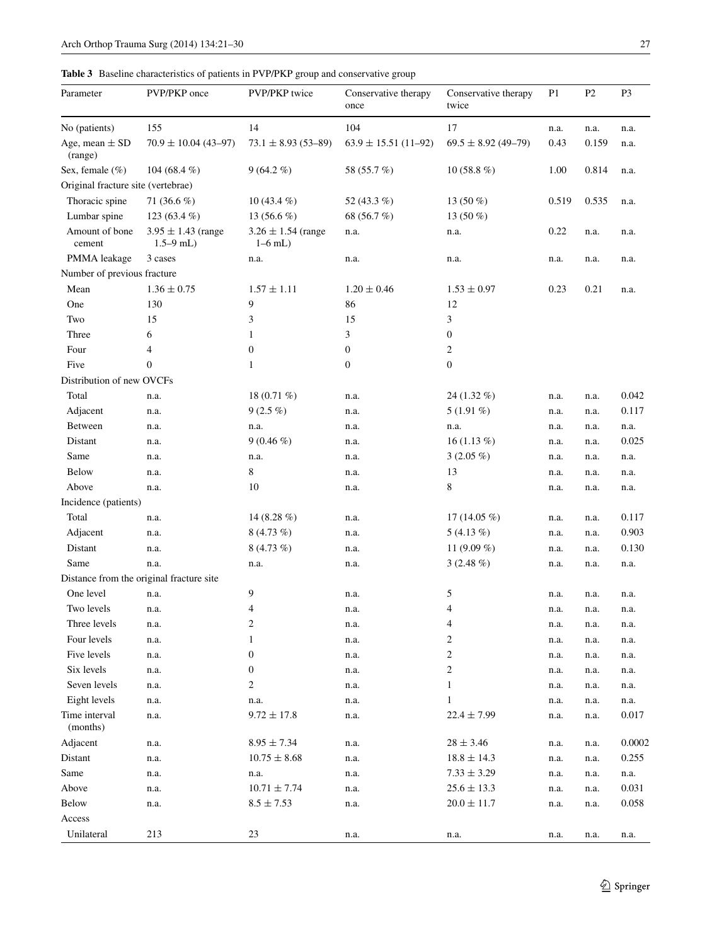## <span id="page-6-0"></span>**Table 3** Baseline characteristics of patients in PVP/PKP group and conservative group

| Parameter                          | PVP/PKP once                             | PVP/PKP twice                       | Conservative therapy<br>once | Conservative therapy<br>twice | P <sub>1</sub> | P <sub>2</sub> | P <sub>3</sub> |
|------------------------------------|------------------------------------------|-------------------------------------|------------------------------|-------------------------------|----------------|----------------|----------------|
| No (patients)                      | 155                                      | 14                                  | 104                          | 17                            | n.a.           | n.a.           | n.a.           |
| Age, mean $\pm$ SD<br>(range)      | $70.9 \pm 10.04$ (43-97)                 | $73.1 \pm 8.93(53 - 89)$            | $63.9 \pm 15.51(11-92)$      | $69.5 \pm 8.92$ (49-79)       | 0.43           | 0.159          | n.a.           |
| Sex, female (%)                    | 104 (68.4 %)                             | $9(64.2\%)$                         | 58 (55.7 %)                  | 10 $(58.8\%)$                 | 1.00           | 0.814          | n.a.           |
| Original fracture site (vertebrae) |                                          |                                     |                              |                               |                |                |                |
| Thoracic spine                     | 71 $(36.6\%)$                            | 10 $(43.4\%)$                       | 52 (43.3 %)                  | 13 $(50\%)$                   | 0.519          | 0.535          | n.a.           |
| Lumbar spine                       | 123 $(63.4\%)$                           | 13 $(56.6\%)$                       | 68 (56.7 %)                  | 13 $(50\%)$                   |                |                |                |
| Amount of bone<br>cement           | $3.95 \pm 1.43$ (range<br>$1.5 - 9$ mL)  | $3.26 \pm 1.54$ (range<br>$1-6$ mL) | n.a.                         | n.a.                          | 0.22           | n.a.           | n.a.           |
| PMMA leakage                       | 3 cases                                  | n.a.                                | n.a.                         | n.a.                          | n.a.           | n.a.           | n.a.           |
| Number of previous fracture        |                                          |                                     |                              |                               |                |                |                |
| Mean                               | $1.36 \pm 0.75$                          | $1.57 \pm 1.11$                     | $1.20 \pm 0.46$              | $1.53 \pm 0.97$               | 0.23           | 0.21           | n.a.           |
| One                                | 130                                      | 9                                   | 86                           | 12                            |                |                |                |
| Two                                | 15                                       | 3                                   | 15                           | 3                             |                |                |                |
| Three                              | 6                                        | $\mathbf{1}$                        | 3                            | $\boldsymbol{0}$              |                |                |                |
| Four                               | 4                                        | $\boldsymbol{0}$                    | $\boldsymbol{0}$             | 2                             |                |                |                |
| Five                               | $\overline{0}$                           | $\mathbf{1}$                        | $\boldsymbol{0}$             | $\mathbf{0}$                  |                |                |                |
| Distribution of new OVCFs          |                                          |                                     |                              |                               |                |                |                |
| Total                              | n.a.                                     | 18 $(0.71\%)$                       | n.a.                         | 24 (1.32 %)                   | n.a.           | n.a.           | 0.042          |
| Adjacent                           | n.a.                                     | $9(2.5\%)$                          | n.a.                         | $5(1.91\%)$                   | n.a.           | n.a.           | 0.117          |
| Between                            | n.a.                                     | n.a.                                | n.a.                         | n.a.                          | n.a.           | n.a.           | n.a.           |
| Distant                            | n.a.                                     | $9(0.46\%)$                         | n.a.                         | 16 $(1.13\%)$                 | n.a.           | n.a.           | 0.025          |
| Same                               | n.a.                                     | n.a.                                | n.a.                         | $3(2.05\%)$                   | n.a.           | n.a.           | n.a.           |
| Below                              | n.a.                                     | 8                                   | n.a.                         | 13                            | n.a.           | n.a.           | n.a.           |
| Above                              | n.a.                                     | 10                                  | n.a.                         | 8                             | n.a.           | n.a.           | n.a.           |
| Incidence (patients)               |                                          |                                     |                              |                               |                |                |                |
| Total                              | n.a.                                     | 14 (8.28 $%$ )                      | n.a.                         | 17 $(14.05\%)$                | n.a.           | n.a.           | 0.117          |
| Adjacent                           | n.a.                                     | 8 $(4.73\%)$                        | n.a.                         | $5(4.13\%)$                   | n.a.           | n.a.           | 0.903          |
| Distant                            | n.a.                                     | $8(4.73\%)$                         | n.a.                         | 11 $(9.09\%)$                 | n.a.           | n.a.           | 0.130          |
| Same                               | n.a.                                     | n.a.                                | n.a.                         | $3(2.48\%)$                   | n.a.           | n.a.           | n.a.           |
|                                    | Distance from the original fracture site |                                     |                              |                               |                |                |                |
| One level                          | n.a.                                     | 9                                   | n.a.                         | 5                             | n.a.           | n.a.           | n.a.           |
| Two levels                         | n.a.                                     | 4                                   | n.a.                         | 4                             | n.a.           | n.a.           | n.a.           |
| Three levels                       | n.a.                                     | $\boldsymbol{2}$                    | n.a.                         | 4                             | n.a.           | n.a.           | n.a.           |
| Four levels                        | n.a.                                     | $\mathbf{1}$                        | n.a.                         | $\overline{c}$                | n.a.           | n.a.           | n.a.           |
| Five levels                        | n.a.                                     | $\boldsymbol{0}$                    | n.a.                         | $\overline{c}$                | n.a.           | n.a.           | n.a.           |
| Six levels                         | n.a.                                     | $\boldsymbol{0}$                    | n.a.                         | $\boldsymbol{2}$              | n.a.           | n.a.           | n.a.           |
| Seven levels                       | n.a.                                     | $\boldsymbol{2}$                    | n.a.                         | 1                             | n.a.           | n.a.           | n.a.           |
| Eight levels                       | n.a.                                     | n.a.                                | n.a.                         | 1                             | n.a.           | n.a.           | n.a.           |
| Time interval<br>(months)          | n.a.                                     | $9.72 \pm 17.8$                     | n.a.                         | $22.4 \pm 7.99$               | n.a.           | n.a.           | 0.017          |
| Adjacent                           | n.a.                                     | $8.95 \pm 7.34$                     | n.a.                         | $28 \pm 3.46$                 | n.a.           | n.a.           | 0.0002         |
| Distant                            | n.a.                                     | $10.75 \pm 8.68$                    | n.a.                         | $18.8 \pm 14.3$               | n.a.           | n.a.           | 0.255          |
| Same                               | n.a.                                     | n.a.                                | n.a.                         | $7.33 \pm 3.29$               | n.a.           | n.a.           | n.a.           |
| Above                              | n.a.                                     | $10.71 \pm 7.74$                    | n.a.                         | $25.6 \pm 13.3$               | n.a.           | n.a.           | 0.031          |
| Below                              | n.a.                                     | $8.5 \pm 7.53$                      | n.a.                         | $20.0\pm11.7$                 | n.a.           | n.a.           | 0.058          |
| Access                             |                                          |                                     |                              |                               |                |                |                |
| Unilateral                         | 213                                      | $23\,$                              | n.a.                         | n.a.                          | n.a.           | n.a.           | n.a.           |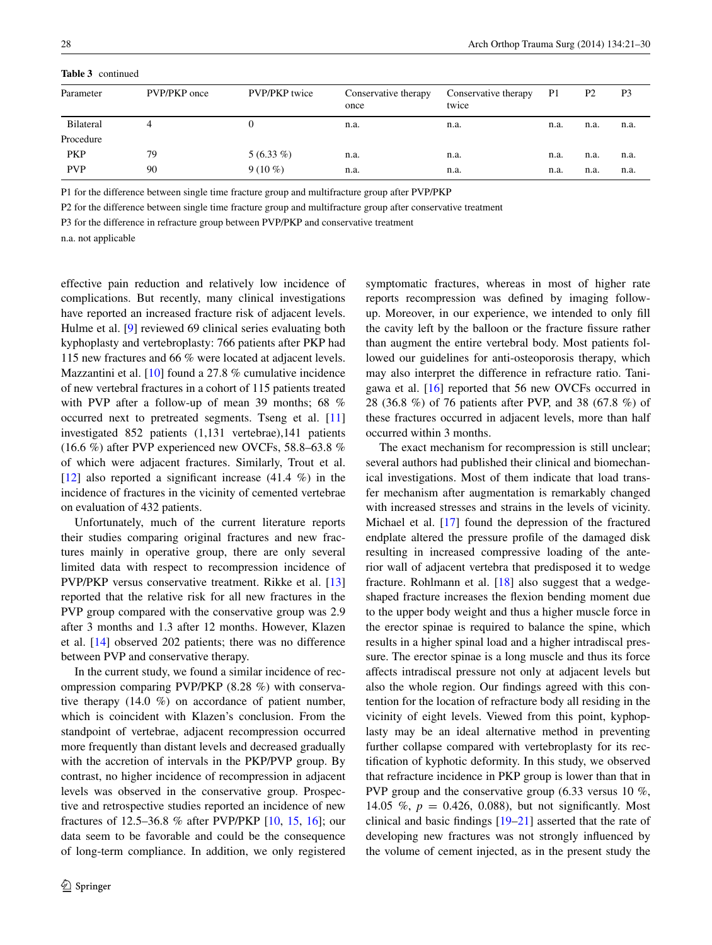| Parameter  | PVP/PKP once | <b>PVP/PKP</b> twice | Conservative therapy<br>once | Conservative therapy<br>twice | P1   | P <sub>2</sub> | P3   |
|------------|--------------|----------------------|------------------------------|-------------------------------|------|----------------|------|
| Bilateral  |              | 0                    | n.a.                         | n.a.                          | n.a. | n.a.           | n.a. |
| Procedure  |              |                      |                              |                               |      |                |      |
| <b>PKP</b> | 79           | $5(6.33\%)$          | n.a.                         | n.a.                          | n.a. | n.a.           | n.a. |
| <b>PVP</b> | 90           | $9(10\%)$            | n.a.                         | n.a.                          | n.a. | n.a.           | n.a. |

**Table 3** continued

P1 for the difference between single time fracture group and multifracture group after PVP/PKP

P2 for the difference between single time fracture group and multifracture group after conservative treatment

P3 for the difference in refracture group between PVP/PKP and conservative treatment

n.a. not applicable

effective pain reduction and relatively low incidence of complications. But recently, many clinical investigations have reported an increased fracture risk of adjacent levels. Hulme et al. [[9\]](#page-9-6) reviewed 69 clinical series evaluating both kyphoplasty and vertebroplasty: 766 patients after PKP had 115 new fractures and 66 % were located at adjacent levels. Mazzantini et al. [\[10](#page-9-7)] found a 27.8 % cumulative incidence of new vertebral fractures in a cohort of 115 patients treated with PVP after a follow-up of mean 39 months; 68 % occurred next to pretreated segments. Tseng et al. [[11\]](#page-9-8) investigated 852 patients (1,131 vertebrae),141 patients (16.6 %) after PVP experienced new OVCFs, 58.8–63.8 % of which were adjacent fractures. Similarly, Trout et al.  $[12]$  $[12]$  also reported a significant increase  $(41.4\% )$  in the incidence of fractures in the vicinity of cemented vertebrae on evaluation of 432 patients.

Unfortunately, much of the current literature reports their studies comparing original fractures and new fractures mainly in operative group, there are only several limited data with respect to recompression incidence of PVP/PKP versus conservative treatment. Rikke et al. [[13\]](#page-9-10) reported that the relative risk for all new fractures in the PVP group compared with the conservative group was 2.9 after 3 months and 1.3 after 12 months. However, Klazen et al. [[14\]](#page-9-11) observed 202 patients; there was no difference between PVP and conservative therapy.

In the current study, we found a similar incidence of recompression comparing PVP/PKP (8.28 %) with conservative therapy (14.0 %) on accordance of patient number, which is coincident with Klazen's conclusion. From the standpoint of vertebrae, adjacent recompression occurred more frequently than distant levels and decreased gradually with the accretion of intervals in the PKP/PVP group. By contrast, no higher incidence of recompression in adjacent levels was observed in the conservative group. Prospective and retrospective studies reported an incidence of new fractures of 12.5–36.8 % after PVP/PKP [\[10](#page-9-7), [15](#page-9-12), [16](#page-9-13)]; our data seem to be favorable and could be the consequence of long-term compliance. In addition, we only registered symptomatic fractures, whereas in most of higher rate reports recompression was defined by imaging followup. Moreover, in our experience, we intended to only fill the cavity left by the balloon or the fracture fissure rather than augment the entire vertebral body. Most patients followed our guidelines for anti-osteoporosis therapy, which may also interpret the difference in refracture ratio. Tanigawa et al. [\[16](#page-9-13)] reported that 56 new OVCFs occurred in 28 (36.8 %) of 76 patients after PVP, and 38 (67.8 %) of these fractures occurred in adjacent levels, more than half occurred within 3 months.

The exact mechanism for recompression is still unclear; several authors had published their clinical and biomechanical investigations. Most of them indicate that load transfer mechanism after augmentation is remarkably changed with increased stresses and strains in the levels of vicinity. Michael et al. [\[17](#page-9-14)] found the depression of the fractured endplate altered the pressure profile of the damaged disk resulting in increased compressive loading of the anterior wall of adjacent vertebra that predisposed it to wedge fracture. Rohlmann et al. [[18\]](#page-9-15) also suggest that a wedgeshaped fracture increases the flexion bending moment due to the upper body weight and thus a higher muscle force in the erector spinae is required to balance the spine, which results in a higher spinal load and a higher intradiscal pressure. The erector spinae is a long muscle and thus its force affects intradiscal pressure not only at adjacent levels but also the whole region. Our findings agreed with this contention for the location of refracture body all residing in the vicinity of eight levels. Viewed from this point, kyphoplasty may be an ideal alternative method in preventing further collapse compared with vertebroplasty for its rectification of kyphotic deformity. In this study, we observed that refracture incidence in PKP group is lower than that in PVP group and the conservative group (6.33 versus 10 %, 14.05 %,  $p = 0.426, 0.088$ , but not significantly. Most clinical and basic findings [\[19](#page-9-16)[–21](#page-9-17)] asserted that the rate of developing new fractures was not strongly influenced by the volume of cement injected, as in the present study the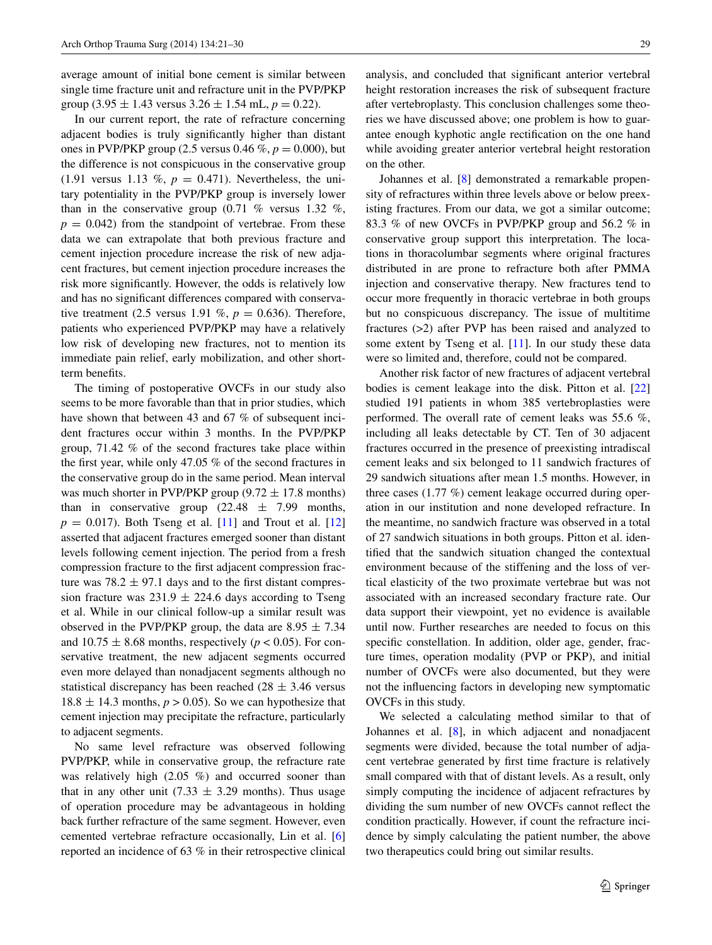average amount of initial bone cement is similar between single time fracture unit and refracture unit in the PVP/PKP group (3.95  $\pm$  1.43 versus 3.26  $\pm$  1.54 mL,  $p = 0.22$ ).

In our current report, the rate of refracture concerning adjacent bodies is truly significantly higher than distant ones in PVP/PKP group (2.5 versus 0.46  $\%$ ,  $p = 0.000$ ), but the difference is not conspicuous in the conservative group  $(1.91$  versus 1.13 %,  $p = 0.471$ ). Nevertheless, the unitary potentiality in the PVP/PKP group is inversely lower than in the conservative group  $(0.71 \% \text{ versus } 1.32 \%$ ,  $p = 0.042$ ) from the standpoint of vertebrae. From these data we can extrapolate that both previous fracture and cement injection procedure increase the risk of new adjacent fractures, but cement injection procedure increases the risk more significantly. However, the odds is relatively low and has no significant differences compared with conservative treatment (2.5 versus 1.91 %,  $p = 0.636$ ). Therefore, patients who experienced PVP/PKP may have a relatively low risk of developing new fractures, not to mention its immediate pain relief, early mobilization, and other shortterm benefits.

The timing of postoperative OVCFs in our study also seems to be more favorable than that in prior studies, which have shown that between 43 and 67 % of subsequent incident fractures occur within 3 months. In the PVP/PKP group, 71.42 % of the second fractures take place within the first year, while only 47.05 % of the second fractures in the conservative group do in the same period. Mean interval was much shorter in PVP/PKP group  $(9.72 \pm 17.8 \text{ months})$ than in conservative group  $(22.48 \pm 7.99 \text{ months},$  $p = 0.017$ . Both Tseng et al. [\[11](#page-9-8)] and Trout et al. [[12\]](#page-9-9) asserted that adjacent fractures emerged sooner than distant levels following cement injection. The period from a fresh compression fracture to the first adjacent compression fracture was  $78.2 \pm 97.1$  days and to the first distant compression fracture was  $231.9 \pm 224.6$  days according to Tseng et al. While in our clinical follow-up a similar result was observed in the PVP/PKP group, the data are  $8.95 \pm 7.34$ and  $10.75 \pm 8.68$  months, respectively ( $p < 0.05$ ). For conservative treatment, the new adjacent segments occurred even more delayed than nonadjacent segments although no statistical discrepancy has been reached ( $28 \pm 3.46$  versus  $18.8 \pm 14.3$  months,  $p > 0.05$ ). So we can hypothesize that cement injection may precipitate the refracture, particularly to adjacent segments.

No same level refracture was observed following PVP/PKP, while in conservative group, the refracture rate was relatively high (2.05 %) and occurred sooner than that in any other unit (7.33  $\pm$  3.29 months). Thus usage of operation procedure may be advantageous in holding back further refracture of the same segment. However, even cemented vertebrae refracture occasionally, Lin et al. [[6\]](#page-9-3) reported an incidence of 63 % in their retrospective clinical analysis, and concluded that significant anterior vertebral height restoration increases the risk of subsequent fracture after vertebroplasty. This conclusion challenges some theories we have discussed above; one problem is how to guarantee enough kyphotic angle rectification on the one hand while avoiding greater anterior vertebral height restoration on the other.

Johannes et al. [\[8](#page-9-5)] demonstrated a remarkable propensity of refractures within three levels above or below preexisting fractures. From our data, we got a similar outcome; 83.3 % of new OVCFs in PVP/PKP group and 56.2 % in conservative group support this interpretation. The locations in thoracolumbar segments where original fractures distributed in are prone to refracture both after PMMA injection and conservative therapy. New fractures tend to occur more frequently in thoracic vertebrae in both groups but no conspicuous discrepancy. The issue of multitime fractures (>2) after PVP has been raised and analyzed to some extent by Tseng et al. [[11\]](#page-9-8). In our study these data were so limited and, therefore, could not be compared.

Another risk factor of new fractures of adjacent vertebral bodies is cement leakage into the disk. Pitton et al. [[22\]](#page-9-18) studied 191 patients in whom 385 vertebroplasties were performed. The overall rate of cement leaks was 55.6 %, including all leaks detectable by CT. Ten of 30 adjacent fractures occurred in the presence of preexisting intradiscal cement leaks and six belonged to 11 sandwich fractures of 29 sandwich situations after mean 1.5 months. However, in three cases (1.77 %) cement leakage occurred during operation in our institution and none developed refracture. In the meantime, no sandwich fracture was observed in a total of 27 sandwich situations in both groups. Pitton et al. identified that the sandwich situation changed the contextual environment because of the stiffening and the loss of vertical elasticity of the two proximate vertebrae but was not associated with an increased secondary fracture rate. Our data support their viewpoint, yet no evidence is available until now. Further researches are needed to focus on this specific constellation. In addition, older age, gender, fracture times, operation modality (PVP or PKP), and initial number of OVCFs were also documented, but they were not the influencing factors in developing new symptomatic OVCFs in this study.

We selected a calculating method similar to that of Johannes et al. [[8\]](#page-9-5), in which adjacent and nonadjacent segments were divided, because the total number of adjacent vertebrae generated by first time fracture is relatively small compared with that of distant levels. As a result, only simply computing the incidence of adjacent refractures by dividing the sum number of new OVCFs cannot reflect the condition practically. However, if count the refracture incidence by simply calculating the patient number, the above two therapeutics could bring out similar results.